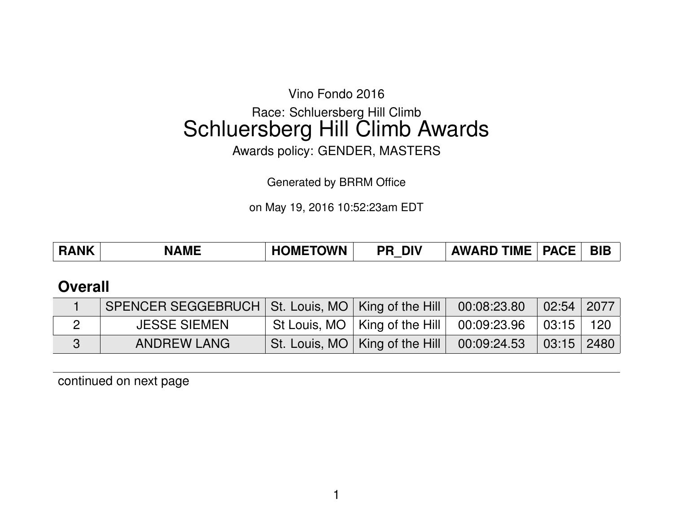Vino Fondo 2016

# Race: Schluersberg Hill Climb Schluersberg Hill Climb Awards

Awards policy: GENDER, MASTERS

Generated by BRRM Office

on May 19, 2016 10:52:23am EDT

| <b>BIB</b><br><b>PACE</b><br><b>HOMETOWN</b><br><b>RANK</b><br><b>AWARD TIME</b><br><b>DIV</b><br><b>NAME</b><br><b>PR</b> |
|----------------------------------------------------------------------------------------------------------------------------|
|----------------------------------------------------------------------------------------------------------------------------|

### **Overall**

| SPENCER SEGGEBRUCH   St. Louis, MO   King of the Hill   00:08:23.80 |                                                               | $\vert$ 02:54 $\vert$ 2077 $\vert$ |  |
|---------------------------------------------------------------------|---------------------------------------------------------------|------------------------------------|--|
| <b>JESSE SIEMEN</b>                                                 | St Louis, MO   King of the Hill   00:09:23.96   03:15   120   |                                    |  |
| ANDREW LANG                                                         | St. Louis, MO   King of the Hill   00:09:24.53   03:15   2480 |                                    |  |

continued on next page